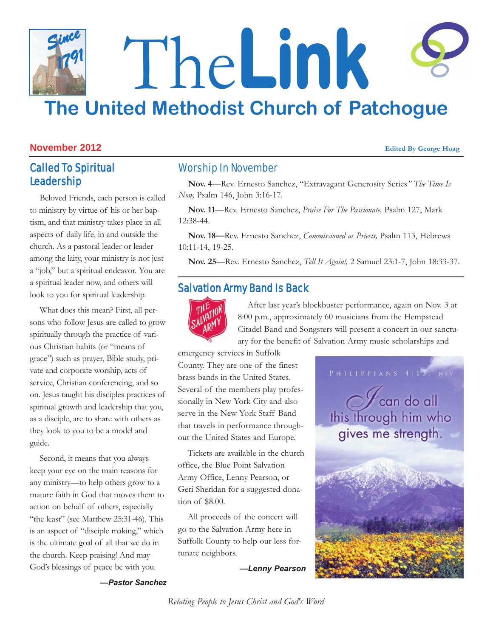## The**Link The United Methodist Church of Patchogue** *Since 1791*

#### **November 2012 Edited By George Hoag**

### Called To Spiritual Leadership

Beloved Friends, each person is called to ministry by virtue of his or her baptism, and that ministry takes place in all aspects of daily life, in and outside the church. As a pastoral leader or leader among the laity, your ministry is not just a "job," but a spiritual endeavor. You are a spiritual leader now, and others will look to you for spiritual leadership.

What does this mean? First, all persons who follow Jesus are called to grow spiritually through the practice of various Christian habits (or "means of grace") such as prayer, Bible study, private and corporate worship, acts of service, Christian conferencing, and so on. Jesus taught his disciples practices of spiritual growth and leadership that you, as a disciple, are to share with others as they look to you to be a model and guide.

Second, it means that you always keep your eye on the main reasons for any ministry—to help others grow to a mature faith in God that moves them to action on behalf of others, especially "the least" (see Matthew 25:31-46). This is an aspect of "disciple making," which is the ultimate goal of all that we do in the church. Keep praising! And may God's blessings of peace be with you.

#### Worship In November

**Nov. 4**—Rev. Ernesto Sanchez, "Extravagant Generosity Series*" The Time Is Now,* Psalm 146, John 3:16-17.

**Nov. 11**—Rev. Ernesto Sanchez, *Praise For The Passionate,* Psalm 127, Mark 12:38-44.

**Nov. 18—**Rev. Ernesto Sanchez, *Commissioned as Priests,* Psalm 113, Hebrews 10:11-14, 19-25.

**Nov. 25**—Rev. Ernesto Sanchez, *Tell It Again!,* 2 Samuel 23:1-7, John 18:33-37.

#### Salvation Army Band Is Back



After last year's blockbuster performance, again on Nov. 3 at 8:00 p.m., approximately 60 musicians from the Hempstead Citadel Band and Songsters will present a concert in our sanctuary for the benefit of Salvation Army music scholarships and

emergency services in Suffolk County. They are one of the finest brass bands in the United States. Several of the members play professionally in New York City and also serve in the New York Staff Band that travels in performance throughout the United States and Europe.

Tickets are available in the church office, the Blue Point Salvation Army Office, Lenny Pearson, or Geri Sheridan for a suggested donation of \$8.00.

All proceeds of the concert will go to the Salvation Army here in Suffolk County to help our less fortunate neighbors.

*—Lenny Pearson*



*—Pastor Sanchez*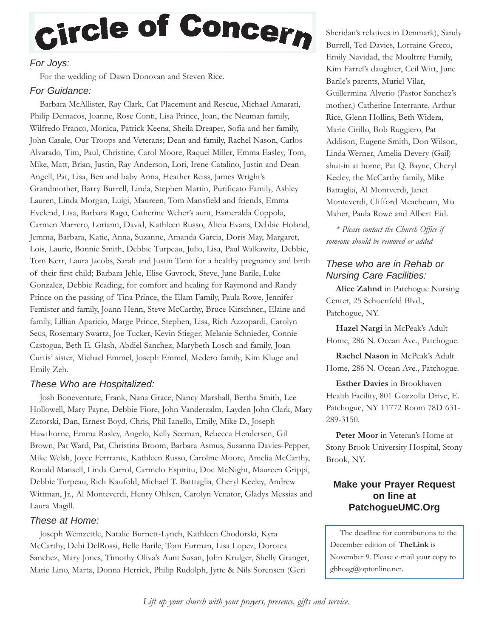# Circle of Concern

#### *For Joys:*

For the wedding of Dawn Donovan and Steven Rice.

#### *For Guidance:*

Barbara McAllister, Ray Clark, Cat Placement and Rescue, Michael Amarati, Philip Demacos, Joanne, Rose Conti, Lisa Prince, Joan, the Neuman family, Wilfredo Franco, Monica, Patrick Keena, Sheila Dreaper, Sofia and her family, John Casale, Our Troops and Veterans; Dean and family, Rachel Nason, Carlos Alvarado, Tim, Paul, Christine, Carol Moore, Raquel Miller, Emma Easley, Tom, Mike, Matt, Brian, Justin, Ray Anderson, Lori, Irene Catalino, Justin and Dean Angell, Pat, Lisa, Ben and baby Anna, Heather Reiss, James Wright's Grandmother, Barry Burrell, Linda, Stephen Martin, Purificato Family, Ashley Lauren, Linda Morgan, Luigi, Maureen, Tom Mansfield and friends, Emma Evelend, Lisa, Barbara Rago, Catherine Weber's aunt, Esmeralda Coppola, Carmen Marrero, Loriann, David, Kathleen Russo, Alicia Evans, Debbie Holand, Jemma, Barbara, Katie, Anna, Suzanne, Amanda Garcia, Doris May, Margaret, Lois, Laurie, Bonnie Smith, Debbie Turpeau, Julio, Lisa, Paul Walkawitz, Debbie, Tom Kerr, Laura Jacobs, Sarah and Justin Tann for a healthy pregnancy and birth of their first child; Barbara Jehle, Elise Gavrock, Steve, June Barile, Luke Gonzalez, Debbie Reading, for comfort and healing for Raymond and Randy Prince on the passing of Tina Prince, the Elam Family, Paula Rowe, Jennifer Femister and family, Joann Henn, Steve McCarthy, Bruce Kirschner., Elaine and family, Lillian Aparicio, Marge Prince, Stephen, Lisa, Rich Azzopardi, Carolyn Seus, Rosemary Swartz, Joe Tucker, Kevin Stieger, Melanie Schnieder, Connie Castogua, Beth E. Glash, Abdiel Sanchez, Marybeth Losch and family, Joan Curtis' sister, Michael Emmel, Joseph Emmel, Medero family, Kim Kluge and Emily Zeh.

#### *These Who are Hospitalized:*

Josh Boneventure, Frank, Nana Grace, Nancy Marshall, Bertha Smith, Lee Hollowell, Mary Payne, Debbie Fiore, John Vanderzalm, Layden John Clark, Mary Zatorski, Dan, Ernest Boyd, Chris, Phil Ianello, Emily, Mike D., Joseph Hawthorne, Emma Rasley, Angelo, Kelly Seeman, Rebecca Hendersen, Gil Brown, Pat Ward, Pat, Christina Broom, Barbara Asmus, Susanna Davies-Pepper, Mike Welsh, Joyce Ferrrante, Kathleen Russo, Caroline Moore, Amelia McCarthy, Ronald Mansell, Linda Carrol, Carmelo Espiritu, Doc McNight, Maureen Grippi, Debbie Turpeau, Rich Kaufold, Michael T. Batttaglia, Cheryl Keeley, Andrew Wittman, Jr., Al Monteverdi, Henry Ohlsen, Carolyn Venator, Gladys Messias and Laura Magill.

#### *These at Home:*

Joseph Weinzettle, Natalie Burnett-Lynch, Kathleen Chodorski, Kyra McCarthy, Debi DelRossi, Belle Barile, Tom Furman, Lisa Lopez, Dorotea Sanchez, Mary Jones, Timothy Oliva's Aunt Susan, John Krulger, Shelly Granger, Marie Lino, Marta, Donna Herrick, Philip Rudolph, Jytte & Nils Sorensen (Geri

Sheridan's relatives in Denmark), Sandy Burrell, Ted Davies, Lorraine Greco, Emily Navidad, the Moultrre Family, Kim Farrel's daughter, Ceil Witt, June Barile's parents, Muriel Vilar, Guillermina Alverio (Pastor Sanchez's mother,) Catherine Interrante, Arthur Rice, Glenn Hollins, Beth Widera, Marie Cirillo, Bob Ruggiero, Pat Addison, Eugene Smith, Don Wilson, Linda Werner, Amelia Devery (Gail) shut-in at home, Pat Q. Bayne, Cheryl Keeley, the McCarthy family, Mike Battaglia, Al Montverdi, Janet Monteverdi, Clifford Meachcum, Mia Maher, Paula Rowe and Albert Eid.

*\* Please contact the Church Office if someone should be removed or added*

#### *These who are in Rehab or Nursing Care Facilities:*

**Alice Zahnd** in Patchogue Nursing Center, 25 Schoenfeld Blvd., Patchogue, NY.

**Hazel Nargi** in McPeak's Adult Home, 286 N. Ocean Ave., Patchogue.

**Rachel Nason** in McPeak's Adult Home, 286 N. Ocean Ave., Patchogue.

**Esther Davies** in Brookhaven Health Facility, 801 Gozzolla Drive, E. Patchogue, NY 11772 Room 78D 631- 289-3150.

**Peter Moor** in Veteran's Home at Stony Brook University Hospital, Stony Brook, NY.

#### **Make your Prayer Request on line at PatchogueUMC.Org**

The deadline for contributions to the December edition of **TheLink** is November 9. Please e-mail your copy to gbhoag@optonline.net.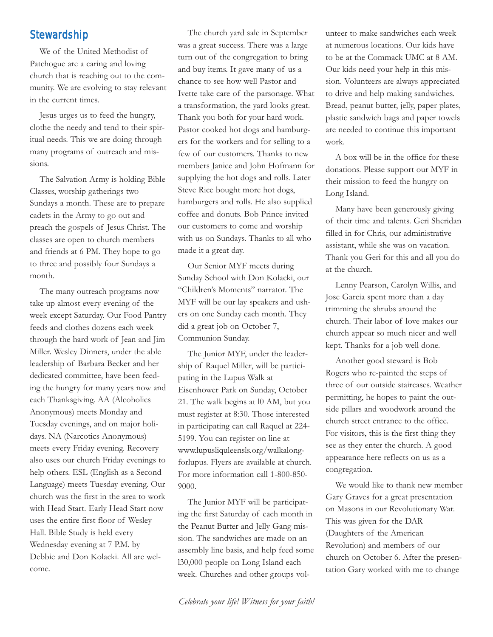#### **Stewardship**

We of the United Methodist of Patchogue are a caring and loving church that is reaching out to the community. We are evolving to stay relevant in the current times.

Jesus urges us to feed the hungry, clothe the needy and tend to their spiritual needs. This we are doing through many programs of outreach and missions.

The Salvation Army is holding Bible Classes, worship gatherings two Sundays a month. These are to prepare cadets in the Army to go out and preach the gospels of Jesus Christ. The classes are open to church members and friends at 6 PM. They hope to go to three and possibly four Sundays a month.

The many outreach programs now take up almost every evening of the week except Saturday. Our Food Pantry feeds and clothes dozens each week through the hard work of Jean and Jim Miller. Wesley Dinners, under the able leadership of Barbara Becker and her dedicated committee, have been feeding the hungry for many years now and each Thanksgiving. AA (Alcoholics Anonymous) meets Monday and Tuesday evenings, and on major holidays. NA (Narcotics Anonymous) meets every Friday evening. Recovery also uses our church Friday evenings to help others. ESL (English as a Second Language) meets Tuesday evening. Our church was the first in the area to work with Head Start. Early Head Start now uses the entire first floor of Wesley Hall. Bible Study is held every Wednesday evening at 7 P.M. by Debbie and Don Kolacki. All are welcome.

The church yard sale in September was a great success. There was a large turn out of the congregation to bring and buy items. It gave many of us a chance to see how well Pastor and Ivette take care of the parsonage. What a transformation, the yard looks great. Thank you both for your hard work. Pastor cooked hot dogs and hamburgers for the workers and for selling to a few of our customers. Thanks to new members Janice and John Hofmann for supplying the hot dogs and rolls. Later Steve Rice bought more hot dogs, hamburgers and rolls. He also supplied coffee and donuts. Bob Prince invited our customers to come and worship with us on Sundays. Thanks to all who made it a great day.

Our Senior MYF meets during Sunday School with Don Kolacki, our "Children's Moments" narrator. The MYF will be our lay speakers and ushers on one Sunday each month. They did a great job on October 7, Communion Sunday.

The Junior MYF, under the leadership of Raquel Miller, will be participating in the Lupus Walk at Eisenhower Park on Sunday, October 21. The walk begins at l0 AM, but you must register at 8:30. Those interested in participating can call Raquel at 224- 5199. You can register on line at www.lupusliquleensls.org/walkalongforlupus. Flyers are available at church. For more information call 1-800-850- 9000.

The Junior MYF will be participating the first Saturday of each month in the Peanut Butter and Jelly Gang mission. The sandwiches are made on an assembly line basis, and help feed some l30,000 people on Long Island each week. Churches and other groups volunteer to make sandwiches each week at numerous locations. Our kids have to be at the Commack UMC at 8 AM. Our kids need your help in this mission. Volunteers are always appreciated to drive and help making sandwiches. Bread, peanut butter, jelly, paper plates, plastic sandwich bags and paper towels are needed to continue this important work.

A box will be in the office for these donations. Please support our MYF in their mission to feed the hungry on Long Island.

Many have been generously giving of their time and talents. Geri Sheridan filled in for Chris, our administrative assistant, while she was on vacation. Thank you Geri for this and all you do at the church.

Lenny Pearson, Carolyn Willis, and Jose Garcia spent more than a day trimming the shrubs around the church. Their labor of love makes our church appear so much nicer and well kept. Thanks for a job well done.

Another good steward is Bob Rogers who re-painted the steps of three of our outside staircases. Weather permitting, he hopes to paint the outside pillars and woodwork around the church street entrance to the office. For visitors, this is the first thing they see as they enter the church. A good appearance here reflects on us as a congregation.

We would like to thank new member Gary Graves for a great presentation on Masons in our Revolutionary War. This was given for the DAR (Daughters of the American Revolution) and members of our church on October 6. After the presentation Gary worked with me to change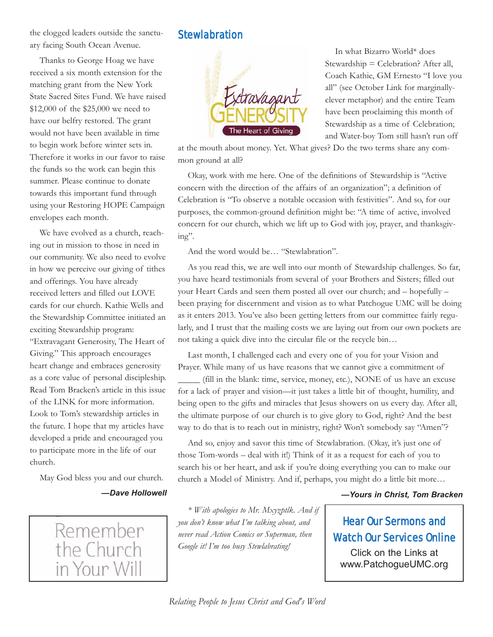the clogged leaders outside the sanctuary facing South Ocean Avenue.

Thanks to George Hoag we have received a six month extension for the matching grant from the New York State Sacred Sites Fund. We have raised \$12,000 of the \$25,000 we need to have our belfry restored. The grant would not have been available in time to begin work before winter sets in. Therefore it works in our favor to raise the funds so the work can begin this summer. Please continue to donate towards this important fund through using your Restoring HOPE Campaign envelopes each month.

We have evolved as a church, reaching out in mission to those in need in our community. We also need to evolve in how we perceive our giving of tithes and offerings. You have already received letters and filled out LOVE cards for our church. Kathie Wells and the Stewardship Committee initiated an exciting Stewardship program: "Extravagant Generosity, The Heart of Giving." This approach encourages heart change and embraces generosity as a core value of personal discipleship. Read Tom Bracken's article in this issue of the LINK for more information. Look to Tom's stewardship articles in the future. I hope that my articles have developed a pride and encouraged you to participate more in the life of our church.

May God bless you and our church.

#### *—Dave Hollowell*

Remember the Church in Your Will

#### **Stewlabration**



In what Bizarro World\* does Stewardship = Celebration? After all, Coach Kathie, GM Ernesto "I love you all" (see October Link for marginallyclever metaphor) and the entire Team have been proclaiming this month of Stewardship as a time of Celebration; and Water-boy Tom still hasn't run off

at the mouth about money. Yet. What gives? Do the two terms share any common ground at all?

Okay, work with me here. One of the definitions of Stewardship is "Active concern with the direction of the affairs of an organization"; a definition of Celebration is "To observe a notable occasion with festivities". And so, for our purposes, the common-ground definition might be: "A time of active, involved concern for our church, which we lift up to God with joy, prayer, and thanksgiving".

And the word would be… "Stewlabration".

As you read this, we are well into our month of Stewardship challenges. So far, you have heard testimonials from several of your Brothers and Sisters; filled out your Heart Cards and seen them posted all over our church; and – hopefully – been praying for discernment and vision as to what Patchogue UMC will be doing as it enters 2013. You've also been getting letters from our committee fairly regularly, and I trust that the mailing costs we are laying out from our own pockets are not taking a quick dive into the circular file or the recycle bin…

Last month, I challenged each and every one of you for your Vision and Prayer. While many of us have reasons that we cannot give a commitment of \_\_\_\_\_ (fill in the blank: time, service, money, etc.), NONE of us have an excuse for a lack of prayer and vision—it just takes a little bit of thought, humility, and being open to the gifts and miracles that Jesus showers on us every day. After all, the ultimate purpose of our church is to give glory to God, right? And the best way to do that is to reach out in ministry, right? Won't somebody say "Amen"?

And so, enjoy and savor this time of Stewlabration. (Okay, it's just one of those Tom-words – deal with it!) Think of it as a request for each of you to search his or her heart, and ask if you're doing everything you can to make our church a Model of Ministry. And if, perhaps, you might do a little bit more…

#### *—Yours in Christ, Tom Bracken*

#### Hear Our Sermons and Watch Our Services Online

Click on the Links at www.PatchogueUMC.org

*\* With apologies to Mr. Mxyzptlk. And if*

*you don't know what I'm talking about, and never read Action Comics or Superman, then*

*Google it! I'm too busy Stewlabrating!*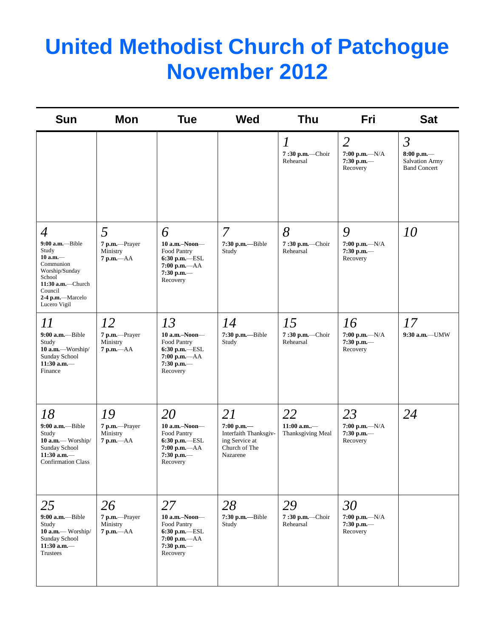## **United Methodist Church of Patchogue November 2012**

| <b>Sun</b>                                                                                                                                                                 | Mon                                             | <b>Tue</b>                                                                                            | <b>Wed</b>                                                                                 | <b>Thu</b>                                       | <b>Fri</b>                                                     | <b>Sat</b>                                                                     |
|----------------------------------------------------------------------------------------------------------------------------------------------------------------------------|-------------------------------------------------|-------------------------------------------------------------------------------------------------------|--------------------------------------------------------------------------------------------|--------------------------------------------------|----------------------------------------------------------------|--------------------------------------------------------------------------------|
|                                                                                                                                                                            |                                                 |                                                                                                       |                                                                                            | $\overline{l}$<br>$7:30$ p.m.-Choir<br>Rehearsal | $\overline{2}$<br>$7:00 p.m. -N/A$<br>$7:30$ p.m.—<br>Recovery | $\mathfrak{Z}$<br>$8:00$ p.m.-<br><b>Salvation Army</b><br><b>Band Concert</b> |
| $\overline{4}$<br>$9:00$ a.m.-Bible<br>Study<br>$10$ a.m. $-$<br>Communion<br>Worship/Sunday<br>School<br>11:30 a.m.-Church<br>Council<br>2-4 p.m.-Marcelo<br>Lucero Vigil | 5<br>7 p.m.-Prayer<br>Ministry<br>$7 p.m. -AA$  | 6<br>$10$ a.m.-Noon-<br>Food Pantry<br>$6:30$ p.m.-ESL<br>$7:00 p.m. -AA$<br>$7:30$ p.m.-<br>Recovery | 7<br>7:30 p.m.--Bible<br>Study                                                             | 8<br>7:30 p.m.-Choir<br>Rehearsal                | 9<br>$7:00 p.m. -N/A$<br>$7:30$ p.m.-<br>Recovery              | 10                                                                             |
| 11<br>9:00 a.m.-Bible<br>Study<br>10 a.m.-Worship/<br>Sunday School<br>$11:30$ a.m.-<br>Finance                                                                            | 12<br>7 p.m.-Prayer<br>Ministry<br>$7 p.m. -AA$ | 13<br>$10$ a.m.-Noon-<br>Food Pantry<br>$6:30$ p.m.-ESL<br>7:00 p.m.-AA<br>$7:30$ p.m.-<br>Recovery   | 14<br>7:30 p.m.-Bible<br>Study                                                             | 15<br>7:30 p.m.-Choir<br>Rehearsal               | 16<br>$7:00$ p.m.- $-N/A$<br>$7:30$ p.m.—<br>Recovery          | 17<br>$9:30$ a.m.-UMW                                                          |
| 18<br>$9:00$ a.m. - Bible<br>Study<br>10 a.m.— Worship/<br>Sunday School<br>$11:30$ a.m.-<br><b>Confirmation Class</b>                                                     | 19<br>7 p.m.-Prayer<br>Ministry<br>$7 p.m. -AA$ | 20<br>$10$ a.m.-Noon-<br>Food Pantry<br>$6:30$ p.m.-ESL<br>7:00 p.m.-AA<br>$7:30$ p.m.-<br>Recovery   | 21<br>$7:00$ p.m.-<br>Interfaith Thanksgiv-<br>ing Service at<br>Church of The<br>Nazarene | 22<br>11:00 a.m-<br>Thanksgiving Meal            | 23<br>$7:00$ p.m.- $-N/A$<br>$7:30$ p.m.-<br>Recovery          | 24                                                                             |
| 25<br>$9:00$ a.m.-Bible<br>Study<br>10 a.m.— Worship/<br>Sunday School<br>$11:30$ a.m.-<br>Trustees                                                                        | 26<br>7 p.m.-Prayer<br>Ministry<br>$7 p.m. -AA$ | 27<br>$10$ a.m.-Noon-<br>Food Pantry<br>6:30 p.m.-ESL<br>7:00 p.m.-- AA<br>$7:30$ p.m.-<br>Recovery   | 28<br>$7:30$ p.m.---Bible<br>Study                                                         | 29<br>$7:30$ p.m.-Choir<br>Rehearsal             | 30<br>$7:00 p.m. -N/A$<br>$7:30$ p.m.-<br>Recovery             |                                                                                |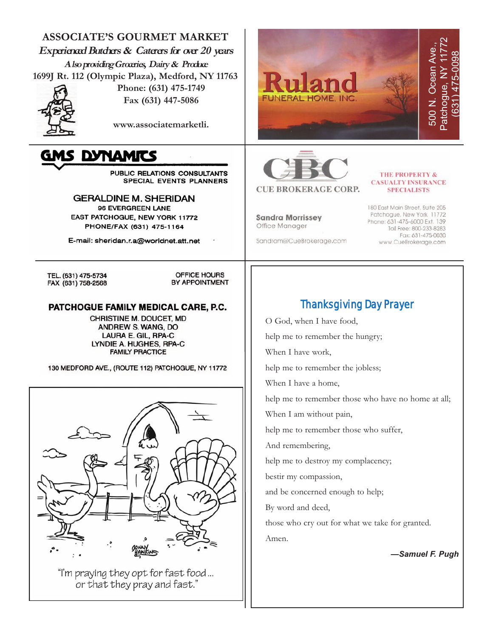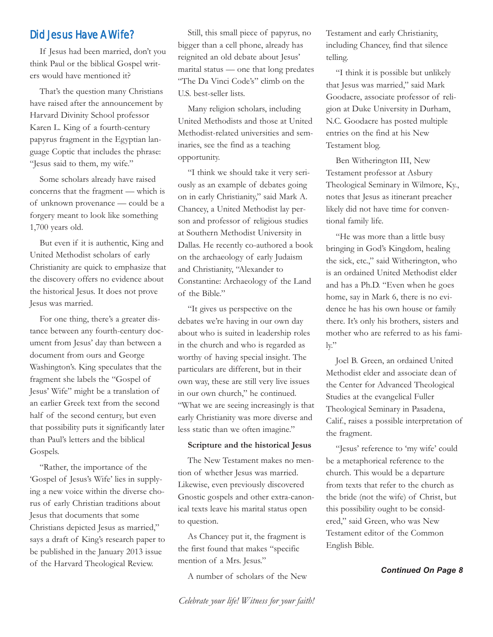#### Did Jesus Have A Wife?

If Jesus had been married, don't you think Paul or the biblical Gospel writers would have mentioned it?

That's the question many Christians have raised after the announcement by Harvard Divinity School professor Karen L. King of a fourth-century papyrus fragment in the Egyptian language Coptic that includes the phrase: "Jesus said to them, my wife."

Some scholars already have raised concerns that the fragment — which is of unknown provenance — could be a forgery meant to look like something 1,700 years old.

But even if it is authentic, King and United Methodist scholars of early Christianity are quick to emphasize that the discovery offers no evidence about the historical Jesus. It does not prove Jesus was married.

For one thing, there's a greater distance between any fourth-century document from Jesus' day than between a document from ours and George Washington's. King speculates that the fragment she labels the "Gospel of Jesus' Wife" might be a translation of an earlier Greek text from the second half of the second century, but even that possibility puts it significantly later than Paul's letters and the biblical Gospels.

"Rather, the importance of the 'Gospel of Jesus's Wife' lies in supplying a new voice within the diverse chorus of early Christian traditions about Jesus that documents that some Christians depicted Jesus as married," says a draft of King's research paper to be published in the January 2013 issue of the Harvard Theological Review.

Still, this small piece of papyrus, no bigger than a cell phone, already has reignited an old debate about Jesus' marital status — one that long predates "The Da Vinci Code's" climb on the U.S. best-seller lists.

Many religion scholars, including United Methodists and those at United Methodist-related universities and seminaries, see the find as a teaching opportunity.

"I think we should take it very seriously as an example of debates going on in early Christianity," said Mark A. Chancey, a United Methodist lay person and professor of religious studies at Southern Methodist University in Dallas. He recently co-authored a book on the archaeology of early Judaism and Christianity, "Alexander to Constantine: Archaeology of the Land of the Bible."

"It gives us perspective on the debates we're having in our own day about who is suited in leadership roles in the church and who is regarded as worthy of having special insight. The particulars are different, but in their own way, these are still very live issues in our own church," he continued. "What we are seeing increasingly is that early Christianity was more diverse and less static than we often imagine."

#### **Scripture and the historical Jesus**

The New Testament makes no mention of whether Jesus was married. Likewise, even previously discovered Gnostic gospels and other extra-canonical texts leave his marital status open to question.

As Chancey put it, the fragment is the first found that makes "specific mention of a Mrs. Jesus."

A number of scholars of the New

Testament and early Christianity, including Chancey, find that silence telling.

"I think it is possible but unlikely that Jesus was married," said Mark Goodacre, associate professor of religion at Duke University in Durham, N.C. Goodacre has posted multiple entries on the find at his New Testament blog.

Ben Witherington III, New Testament professor at Asbury Theological Seminary in Wilmore, Ky., notes that Jesus as itinerant preacher likely did not have time for conventional family life.

"He was more than a little busy bringing in God's Kingdom, healing the sick, etc.," said Witherington, who is an ordained United Methodist elder and has a Ph.D. "Even when he goes home, say in Mark 6, there is no evidence he has his own house or family there. It's only his brothers, sisters and mother who are referred to as his fami- $\mathrm{ly:}$ 

Joel B. Green, an ordained United Methodist elder and associate dean of the Center for Advanced Theological Studies at the evangelical Fuller Theological Seminary in Pasadena, Calif., raises a possible interpretation of the fragment.

"Jesus' reference to 'my wife' could be a metaphorical reference to the church. This would be a departure from texts that refer to the church as the bride (not the wife) of Christ, but this possibility ought to be considered," said Green, who was New Testament editor of the Common English Bible.

*Continued On Page 8*

*Celebrate your life! Witness for your faith!*